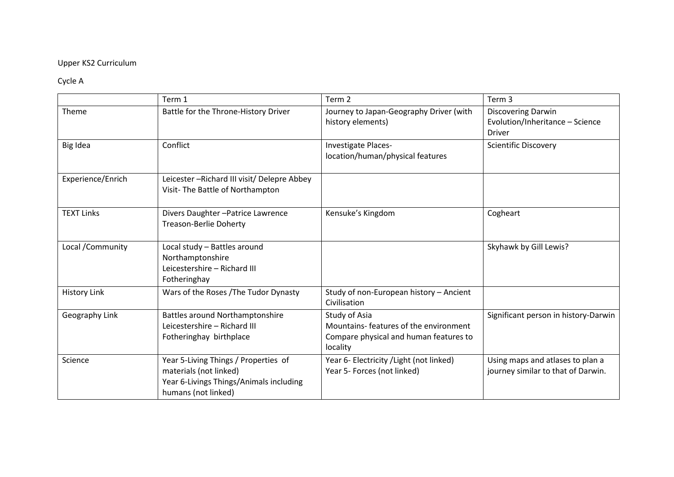## Upper KS2 Curriculum

## Cycle A

|                     | Term 1                                                                                                                           | Term 2                                                                                                        | Term 3                                                                        |
|---------------------|----------------------------------------------------------------------------------------------------------------------------------|---------------------------------------------------------------------------------------------------------------|-------------------------------------------------------------------------------|
| Theme               | Battle for the Throne-History Driver                                                                                             | Journey to Japan-Geography Driver (with<br>history elements)                                                  | <b>Discovering Darwin</b><br>Evolution/Inheritance - Science<br><b>Driver</b> |
| Big Idea            | Conflict                                                                                                                         | Investigate Places-<br>location/human/physical features                                                       | <b>Scientific Discovery</b>                                                   |
| Experience/Enrich   | Leicester-Richard III visit/ Delepre Abbey<br>Visit- The Battle of Northampton                                                   |                                                                                                               |                                                                               |
| <b>TEXT Links</b>   | Divers Daughter-Patrice Lawrence<br><b>Treason-Berlie Doherty</b>                                                                | Kensuke's Kingdom                                                                                             | Cogheart                                                                      |
| Local / Community   | Local study - Battles around<br>Northamptonshire<br>Leicestershire - Richard III<br>Fotheringhay                                 |                                                                                                               | Skyhawk by Gill Lewis?                                                        |
| <b>History Link</b> | Wars of the Roses / The Tudor Dynasty                                                                                            | Study of non-European history - Ancient<br>Civilisation                                                       |                                                                               |
| Geography Link      | <b>Battles around Northamptonshire</b><br>Leicestershire - Richard III<br>Fotheringhay birthplace                                | Study of Asia<br>Mountains- features of the environment<br>Compare physical and human features to<br>locality | Significant person in history-Darwin                                          |
| Science             | Year 5-Living Things / Properties of<br>materials (not linked)<br>Year 6-Livings Things/Animals including<br>humans (not linked) | Year 6- Electricity / Light (not linked)<br>Year 5- Forces (not linked)                                       | Using maps and atlases to plan a<br>journey similar to that of Darwin.        |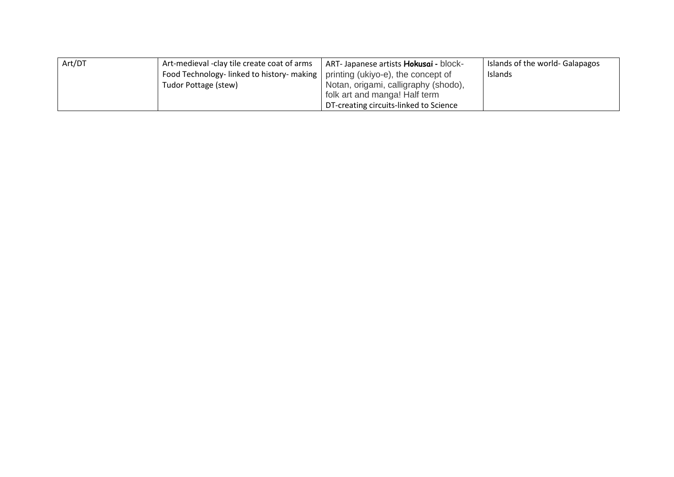| Art/DT | Art-medieval -clay tile create coat of arms                                   | ART-Japanese artists <b>Hokusai</b> - block- | Islands of the world- Galapagos |
|--------|-------------------------------------------------------------------------------|----------------------------------------------|---------------------------------|
|        | Food Technology-linked to history-making   printing (ukiyo-e), the concept of |                                              | Islands                         |
|        | Tudor Pottage (stew)                                                          | Notan, origami, calligraphy (shodo),         |                                 |
|        |                                                                               | folk art and manga! Half term                |                                 |
|        |                                                                               | DT-creating circuits-linked to Science       |                                 |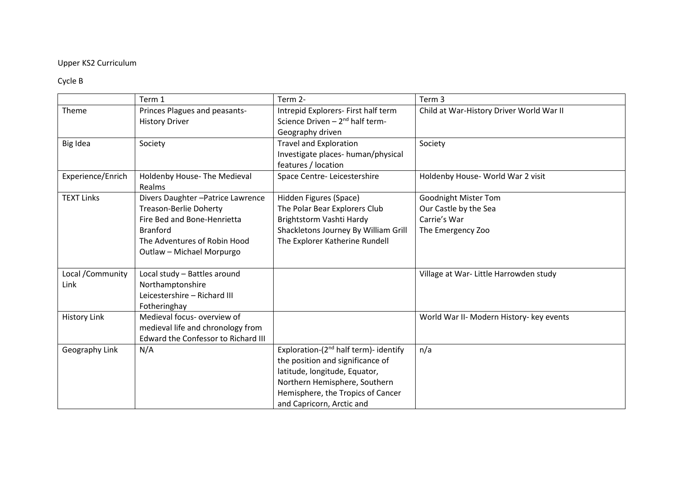## Upper KS2 Curriculum

## Cycle B

|                     | Term 1                              | Term 2-                                           | Term 3                                   |
|---------------------|-------------------------------------|---------------------------------------------------|------------------------------------------|
|                     |                                     |                                                   |                                          |
| Theme               | Princes Plagues and peasants-       | Intrepid Explorers- First half term               | Child at War-History Driver World War II |
|                     | <b>History Driver</b>               | Science Driven $-2^{nd}$ half term-               |                                          |
|                     |                                     | Geography driven                                  |                                          |
| Big Idea            | Society                             | <b>Travel and Exploration</b>                     | Society                                  |
|                     |                                     | Investigate places- human/physical                |                                          |
|                     |                                     | features / location                               |                                          |
| Experience/Enrich   | Holdenby House- The Medieval        | Space Centre-Leicestershire                       | Holdenby House- World War 2 visit        |
|                     | Realms                              |                                                   |                                          |
| <b>TEXT Links</b>   | Divers Daughter - Patrice Lawrence  | Hidden Figures (Space)                            | <b>Goodnight Mister Tom</b>              |
|                     | <b>Treason-Berlie Doherty</b>       | The Polar Bear Explorers Club                     | Our Castle by the Sea                    |
|                     | Fire Bed and Bone-Henrietta         | Brightstorm Vashti Hardy                          | Carrie's War                             |
|                     | <b>Branford</b>                     | Shackletons Journey By William Grill              | The Emergency Zoo                        |
|                     | The Adventures of Robin Hood        | The Explorer Katherine Rundell                    |                                          |
|                     | Outlaw - Michael Morpurgo           |                                                   |                                          |
|                     |                                     |                                                   |                                          |
| Local / Community   | Local study - Battles around        |                                                   | Village at War- Little Harrowden study   |
| Link                | Northamptonshire                    |                                                   |                                          |
|                     | Leicestershire - Richard III        |                                                   |                                          |
|                     | Fotheringhay                        |                                                   |                                          |
| <b>History Link</b> | Medieval focus- overview of         |                                                   | World War II- Modern History- key events |
|                     | medieval life and chronology from   |                                                   |                                          |
|                     | Edward the Confessor to Richard III |                                                   |                                          |
| Geography Link      | N/A                                 | Exploration-(2 <sup>nd</sup> half term)- identify | n/a                                      |
|                     |                                     | the position and significance of                  |                                          |
|                     |                                     | latitude, longitude, Equator,                     |                                          |
|                     |                                     | Northern Hemisphere, Southern                     |                                          |
|                     |                                     |                                                   |                                          |
|                     |                                     | Hemisphere, the Tropics of Cancer                 |                                          |
|                     |                                     | and Capricorn, Arctic and                         |                                          |